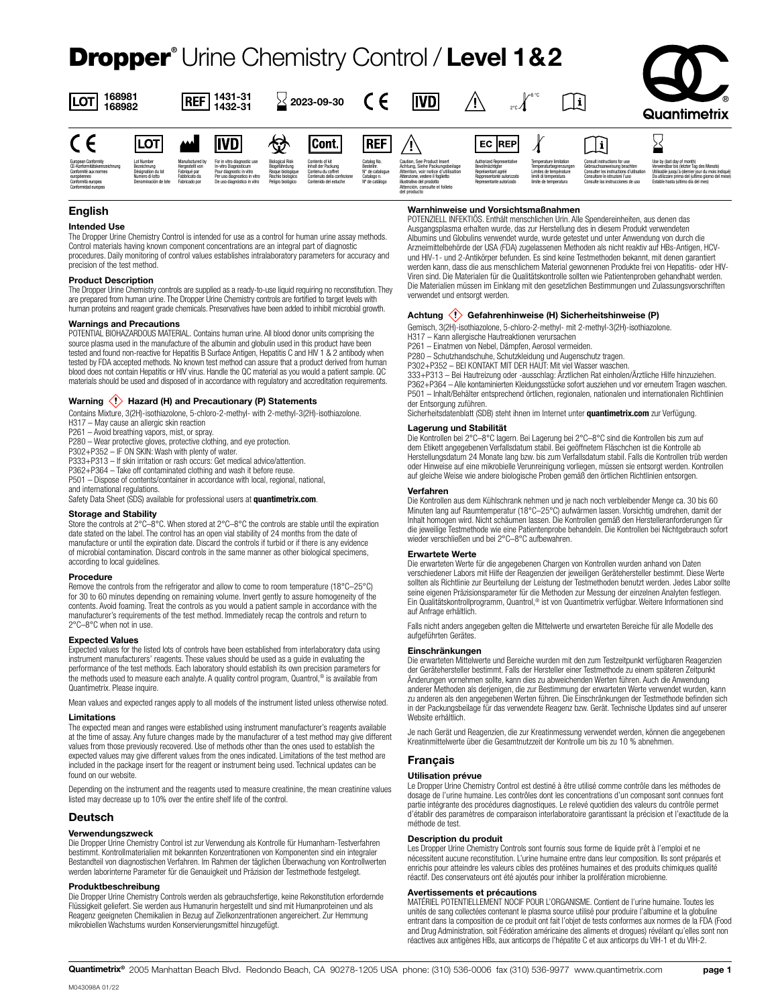## Dropper**®** Urine Chemistry Control / **Level 1&2**



| 168981<br>LOT<br>168982                                                                                                                  |                                                                                            | 1431-31<br><b>REF</b><br>1432-31                                                     |                                                                                                                                                 | 2023-09-30                                                                                             |                                                                                                                    | ivdi                                                                          |                                                                                                                                                                                                                         | $2^{\circ}$ C $-$                                                                                                             | ¶∕°°°                                                                                                                               | i                                                                                                                                                                             | $\mathcal{F}_{\textcircled{\tiny R}}$<br>Quantimetrix                                                                                                                                                                |  |
|------------------------------------------------------------------------------------------------------------------------------------------|--------------------------------------------------------------------------------------------|--------------------------------------------------------------------------------------|-------------------------------------------------------------------------------------------------------------------------------------------------|--------------------------------------------------------------------------------------------------------|--------------------------------------------------------------------------------------------------------------------|-------------------------------------------------------------------------------|-------------------------------------------------------------------------------------------------------------------------------------------------------------------------------------------------------------------------|-------------------------------------------------------------------------------------------------------------------------------|-------------------------------------------------------------------------------------------------------------------------------------|-------------------------------------------------------------------------------------------------------------------------------------------------------------------------------|----------------------------------------------------------------------------------------------------------------------------------------------------------------------------------------------------------------------|--|
|                                                                                                                                          | <b>ILOT</b>                                                                                | لندد                                                                                 | <b>IVD</b>                                                                                                                                      | 份                                                                                                      | <b>Cont.</b>                                                                                                       | <b>REF</b>                                                                    |                                                                                                                                                                                                                         | <b>EC REPI</b>                                                                                                                |                                                                                                                                     | $\overline{\mathcal{A}}$                                                                                                                                                      |                                                                                                                                                                                                                      |  |
| European Conformity<br>CE-Konformitätskennzeichnung<br>Conformité aux normes<br>européennes<br>Conformità europea<br>Conformidad europea | Lot Number<br>Bezeichnung<br>Désignation du lot<br>Numero di lotto<br>Denominación de lote | Manufactured by<br>Heroestellt von<br>Fabriqué par<br>Fabbricato da<br>Fabricado por | For in vitro diagnostic use<br>In-vitro Diagnosticum<br>Pour diagnostic in vitro<br>Per uso diagnostico in vitro<br>De uso diagnóstico in vitro | <b>Biological Risk</b><br>Biogefährdung<br>Risque biologique<br>Rischio biologico<br>Peligro biológico | Contents of kit<br>Inhalt der Packung<br>Contenu du coffret<br>Contenuto della confezione<br>Contenido del estuche | Catalog No.<br>Bestellnr.<br>N° de catalogue<br>Catalogo n.<br>Nº de catálogo | Caution, See Product Insert<br>Achtung, Siehe Packungsbeilage<br>Attention, voir notice d'utilisation<br>Attenzione, vedere il foglietto<br>illustrativo del prodotto<br>Attención, consulte el folleto<br>del producto | Authorized Representative<br>Bevollmächtigter<br>Représentant agréé<br>Raporesentante autorizzato<br>Representante autorizado | <b>Temperature limitation</b><br>Temperaturbegrenzunger<br>Limites de température<br>limiti di temperatura<br>limite de temperatura | Consult instructions for use<br>Gebrauchsanweisung beachten<br>Consulter les instructions d'utilisatio<br>Consultare le istruzioni l'uso<br>Consulte las instrucciones de uso | Use by (last day of month)<br>Verwendbar bis (letzter Tag des Monats)<br>Utilisable iusqu'à (dernier jour du mois indiqué)<br>Da utilizzare prima del (ultimo giorno del mese)<br>Estable hasta (ultimo dia del mes) |  |

### **English**

**Intended Use** The Dropper Urine Chemistry Control is intended for use as a control for human urine assay methods. Control materials having known component concentrations are an integral part of diagnostic procedures. Daily monitoring of control values establishes intralaboratory parameters for accuracy and

#### precision of the test method. **Product Description**

The Dropper Urine Chemistry controls are supplied as a ready-to-use liquid requiring no reconstitution. They are prepared from human urine. The Dropper Urine Chemistry controls are fortified to target levels with human proteins and reagent grade chemicals. Preservatives have been added to inhibit microbial growth.

#### **Warnings and Precautions**

POTENTIAL BIOHAZARDOUS MATERIAL. Contains human urine. All blood donor units comprising the source plasma used in the manufacture of the albumin and globulin used in this product have been tested and found non-reactive for Hepatitis B Surface Antigen, Hepatitis C and HIV 1 & 2 antibody when tested by FDA accepted methods. No known test method can assure that a product derived from human blood does not contain Hepatitis or HIV virus. Handle the QC material as you would a patient sample. QC materials should be used and disposed of in accordance with regulatory and accreditation requirements.

#### Warning  $\langle \cdot \rangle$  Hazard (H) and Precautionary (P) Statements

Contains Mixture, 3(2H)-isothiazolone, 5-chloro-2-methyl- with 2-methyl-3(2H)-isothiazolone.

H317 – May cause an allergic skin reaction

P261 – Avoid breathing vapors, mist, or spray.

P280 – Wear protective gloves, protective clothing, and eye protection.

P302+P352 – IF ON SKIN: Wash with plenty of water. P333+P313 – If skin irritation or rash occurs: Get medical advice/attention.

P362+P364 – Take off contaminated clothing and wash it before reuse.

P501 – Dispose of contents/container in accordance with local, regional, national,

and international regulations.

Safety Data Sheet (SDS) available for professional users at **quantimetrix.com**.

**Storage and Stability** Store the controls at 2°C–8°C. When stored at 2°C–8°C the controls are stable until the expiration date stated on the label. The control has an open vial stability of 24 months from the date of manufacture or until the expiration date. Discard the controls if turbid or if there is any evidence of microbial contamination. Discard controls in the same manner as other biological specimens, according to local guidelines.

#### **Procedure**

Remove the controls from the refrigerator and allow to come to room temperature (18°C–25°C) for 30 to 60 minutes depending on remaining volume. Invert gently to assure homogeneity of the contents. Avoid foaming. Treat the controls as you would a patient sample in accordance with the manufacturer's requirements of the test method. Immediately recap the controls and return to 2°C–8°C when not in use.

#### **Expected Values**

Expected values for the listed lots of controls have been established from interlaboratory data using instrument manufacturers' reagents. These values should be used as a guide in evaluating the performance of the test methods. Each laboratory should establish its own precision parameters for the methods used to measure each analyte. A quality control program, Quantrol,® is available from Quantimetrix. Please inquire.

Mean values and expected ranges apply to all models of the instrument listed unless otherwise noted.

#### **Limitations**

The expected mean and ranges were established using instrument manufacturer's reagents available at the time of assay. Any future changes made by the manufacturer of a test method may give different values from those previously recovered. Use of methods other than the ones used to establish the expected values may give different values from the ones indicated. Limitations of the test method are included in the package insert for the reagent or instrument being used. Technical updates can be found on our website.

Depending on the instrument and the reagents used to measure creatinine, the mean creatinine values listed may decrease up to 10% over the entire shelf life of the control.

#### **Deutsch**

#### **Verwendungszweck**

Die Dropper Urine Chemistry Control ist zur Verwendung als Kontrolle für Humanharn-Testverfahren bestimmt. Kontrollmaterialien mit bekannten Konzentrationen von Komponenten sind ein integraler Bestandteil von diagnostischen Verfahren. Im Rahmen der täglichen Überwachung von Kontrollwerten werden laborinterne Parameter für die Genauigkeit und Präzision der Testmethode festgelegt.

#### **Produktbeschreibung**

Die Dropper Urine Chemistry Controls werden als gebrauchsfertige, keine Rekonstitution erfordernde Flüssigkeit geliefert. Sie werden aus Humanurin hergestellt und sind mit Humanproteinen und als Reagenz geeigneten Chemikalien in Bezug auf Zielkonzentrationen angereichert. Zur Hemmung mikrobiellen Wachstums wurden Konservierungsmittel hinzugefügt.

#### **Warnhinweise und Vorsichtsmaßnahmen**

POTENZIELL INFEKTIÖS. Enthält menschlichen Urin. Alle Spendereinheiten, aus denen das Ausgangsplasma erhalten wurde, das zur Herstellung des in diesem Produkt verwendeten Albumins und Globulins verwendet wurde, wurde getestet und unter Anwendung von durch die Arzneimittelbehörde der USA (FDA) zugelassenen Methoden als nicht reaktiv auf HBs-Antigen, HCVund HIV-1- und 2-Antikörper befunden. Es sind keine Testmethoden bekannt, mit denen garantiert werden kann, dass die aus menschlichem Material gewonnenen Produkte frei von Hepatitis- oder HIV-Viren sind. Die Materialen für die Qualitätskontrolle sollten wie Patientenproben gehandhabt werden. Die Materialien müssen im Einklang mit den gesetzlichen Bestimmungen und Zulassungsvorschriften verwendet und entsorgt werden.

#### **Achtung Gefahrenhinweise (H) Sicherheitshinweise (P)**

Gemisch, 3(2H)-isothiazolone, 5-chloro-2-methyl- mit 2-methyl-3(2H)-isothiazolone.

H317 – Kann allergische Hautreaktionen verursachen

P261 – Einatmen von Nebel, Dämpfen, Aerosol vermeiden.

P280 – Schutzhandschuhe, Schutzkleidung und Augenschutz tragen.

P302+P352 – BEI KONTAKT MIT DER HAUT: Mit viel Wasser waschen.

333+P313 – Bei Hautreizung oder -ausschlag: Ärztlichen Rat einholen/Ärztliche Hilfe hinzuziehen. P362+P364 – Alle kontaminierten Kleidungsstücke sofort ausziehen und vor erneutem Tragen waschen. P501 – Inhalt/Behälter entsprechend örtlichen, regionalen, nationalen und internationalen Richtlinien der Entsorgung zuführen.

Sicherheitsdatenblatt (SDB) steht ihnen im Internet unter **quantimetrix.com** zur Verfügung.

#### **Lagerung und Stabilität**

Die Kontrollen bei 2°C–8°C lagern. Bei Lagerung bei 2°C–8°C sind die Kontrollen bis zum auf<br>dem Etikett angegebenen Verfallsdatum stabil. Bei geöffnetem Fläschchen ist die Kontrolle ab Herstellungsdatum 24 Monate lang bzw. bis zum Verfallsdatum stabil. Falls die Kontrollen trüb werden oder Hinweise auf eine mikrobielle Verunreinigung vorliegen, müssen sie entsorgt werden. Kontrollen auf gleiche Weise wie andere biologische Proben gemäß den örtlichen Richtlinien entsorgen.

#### **Verfahren**

Die Kontrollen aus dem Kühlschrank nehmen und je nach noch verbleibender Menge ca. 30 bis 60 Minuten lang auf Raumtemperatur (18°C–25°C) aufwärmen lassen. Vorsichtig umdrehen, damit der Inhalt homogen wird. Nicht schäumen lassen. Die Kontrollen gemäß den Herstelleranforderungen für die jeweilige Testmethode wie eine Patientenprobe behandeln. Die Kontrollen bei Nichtgebrauch sofort wieder verschließen und bei 2°C–8°C aufbewahren.

#### **Erwartete Werte**

Die erwarteten Werte für die angegebenen Chargen von Kontrollen wurden anhand von Daten verschiedener Labors mit Hilfe der Reagenzien der jeweiligen Gerätehersteller bestimmt. Diese Werte sollten als Richtlinie zur Beurteilung der Leistung der Testmethoden benutzt werden. Jedes Labor sollte seine eigenen Präzisionsparameter für die Methoden zur Messung der einzelnen Analyten festlegen.<br>Ein Qualitätskontrollprogramm, Quantrol,® ist von Quantimetrix verfügbar. Weitere Informationen sind auf Anfrage erhältlich.

Falls nicht anders angegeben gelten die Mittelwerte und erwarteten Bereiche für alle Modelle des aufgeführten Gerätes.

#### **Einschränkungen**

Die erwarteten Mittelwerte und Bereiche wurden mit den zum Testzeitpunkt verfügbaren Reagenzien der Gerätehersteller bestimmt. Falls der Hersteller einer Testmethode zu einem späteren Zeitpunkt Änderungen vornehmen sollte, kann dies zu abweichenden Werten führen. Auch die Anwendung anderer Methoden als derjenigen, die zur Bestimmung der erwarteten Werte verwendet wurden, kann zu anderen als den angegebenen Werten führen. Die Einschränkungen der Testmethode befinden sich in der Packungsbeilage für das verwendete Reagenz bzw. Gerät. Technische Updates sind auf unserer Website erhältlich.

Je nach Gerät und Reagenzien, die zur Kreatinmessung verwendet werden, können die angegebenen Kreatinmittelwerte über die Gesamtnutzzeit der Kontrolle um bis zu 10 % abnehmen.

#### **Français**

#### **Utilisation prévue**

Le Dropper Urine Chemistry Control est destiné à être utilisé comme contrôle dans les méthodes de dosage de l'urine humaine. Les contrôles dont les concentrations d'un composant sont connues font partie intégrante des procédures diagnostiques. Le relevé quotidien des valeurs du contrôle permet d'établir des paramètres de comparaison interlaboratoire garantissant la précision et l'exactitude de la méthode de test.

#### **Description du produit**

Les Dropper Urine Chemistry Controls sont fournis sous forme de liquide prêt à l'emploi et ne nécessitent aucune reconstitution. L'urine humaine entre dans leur composition. Ils sont préparés et enrichis pour atteindre les valeurs cibles des protéines humaines et des produits chimiques qualité réactif. Des conservateurs ont été ajoutés pour inhiber la prolifération microbienne.

#### **Avertissements et précautions**

MATÉRIEL POTENTIELLEMENT NOCIF POUR L'ORGANISME. Contient de l'urine humaine. Toutes les unités de sang collectées contenant le plasma source utilisé pour produire l'albumine et la globuline<br>entrant dans la composition de ce produit ont fait l'objet de tests conformes aux normes de la FDA (Food and Drug Administration, soit Fédération américaine des aliments et drogues) révélant qu'elles sont non réactives aux antigènes HBs, aux anticorps de l'hépatite C et aux anticorps du VIH-1 et du VIH-2.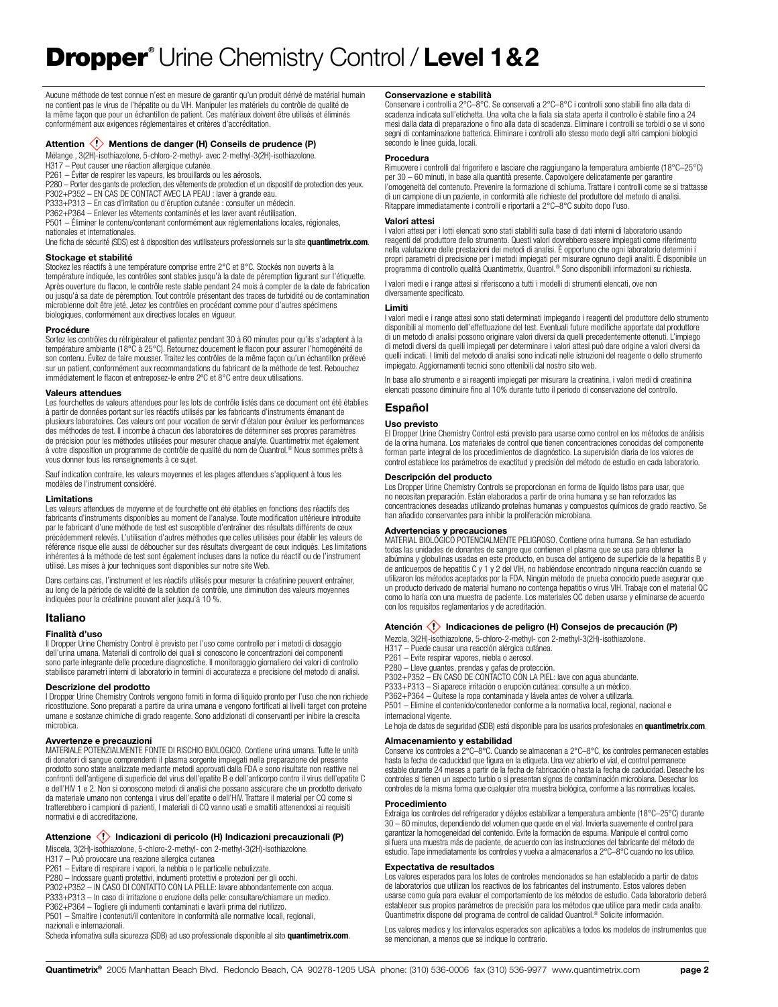Aucune méthode de test connue n'est en mesure de garantir qu'un produit dérivé de matérial humain ne contient pas le virus de l'hépatite ou du VIH. Manipuler les matériels du contrôle de qualité de la même façon que pour un échantillon de patient. Ces matériaux doivent être utilisés et éliminés conformément aux exigences réglementaires et critères d'accréditation.

#### Attention  $\langle \cdot \rangle$  Mentions de danger (H) Conseils de prudence (P)

Mélange , 3(2H)-isothiazolone, 5-chloro-2-methyl- avec 2-methyl-3(2H)-isothiazolone.

H317 – Peut causer une réaction allergique cutanée.

P261 – Éviter de respirer les vapeurs, les brouillards ou les aérosols.

P280 – Porter des gants de protection, des vêtements de protection et un dispositif de protection des yeux.

P302+P352 – EN CAS DE CONTACT AVEC LA PEAU : laver à grande eau. P333+P313 – En cas d'irritation ou d'éruption cutanée : consulter un médecin.

P362+P364 – Enlever les vêtements contaminés et les laver avant réutilisation.

P501 – Éliminer le contenu/contenant conformément aux réglementations locales, régionales,

nationales et internationales.

Une ficha de sécurité (SDS) est à disposition des vutilisateurs professionnels sur la site **quantimetrix.com**.

### **Stockage et stabilité**

Stockez les réactifs à une température comprise entre 2°C et 8°C. Stockés non ouverts à la température indiquée, les contrôles sont stables jusqu'à la date de péremption figurant sur l'étiquette. Après ouverture du flacon, le contrôle reste stable pendant 24 mois à compter de la date de fabrication ou jusqu'à sa date de péremption. Tout contrôle présentant des traces de turbidité ou de contamination microbienne doit être jeté. Jetez les contrôles en procédant comme pour d'autres spécimens biologiques, conformément aux directives locales en vigueur.

#### **Procédure**

Sortez les contrôles du réfrigérateur et patientez pendant 30 à 60 minutes pour qu'ils s'adaptent à la température ambiante (18°C à 25°C). Retournez doucement le flacon pour assurer l'homogénéité de son contenu. Évitez de faire mousser. Traitez les contrôles de la même façon qu'un échantillon prélevé sur un patient, conformément aux recommandations du fabricant de la méthode de test. Rebouchez immédiatement le flacon et entreposez-le entre 2ºC et 8°C entre deux utilisations.

#### **Valeurs attendues**

Les fourchettes de valeurs attendues pour les lots de contrôle listés dans ce document ont été établies à partir de données portant sur les réactifs utilisés par les fabricants d'instruments émanant de plusieurs laboratoires. Ces valeurs ont pour vocation de servir d'étalon pour évaluer les performances des méthodes de test. Il incombe à chacun des laboratoires de déterminer ses propres paramètres de précision pour les méthodes utilisées pour mesurer chaque analyte. Quantimetrix met également à votre disposition un programme de contrôle de qualité du nom de Quantrol.® Nous sommes prêts à vous donner tous les renseignements à ce sujet.

Sauf indication contraire, les valeurs moyennes et les plages attendues s'appliquent à tous les modèles de l'instrument considéré.

#### **Limitations**

Les valeurs attendues de moyenne et de fourchette ont été établies en fonctions des réactifs des fabricants d'instruments disponibles au moment de l'analyse. Toute modification ultérieure introduite par le fabricant d'une méthode de test est susceptible d'entraîner des résultats différents de ceux précédemment relevés. L'utilisation d'autres méthodes que celles utilisées pour établir les valeurs de référence risque elle aussi de déboucher sur des résultats divergeant de ceux indiqués. Les limitations inhérentes à la méthode de test sont également incluses dans la notice du réactif ou de l'instrument utilisé. Les mises à jour techniques sont disponibles sur notre site Web.

Dans certains cas, l'instrument et les réactifs utilisés pour mesurer la créatinine peuvent entraîner, au long de la période de validité de la solution de contrôle, une diminution des valeurs moyennes indiquées pour la créatinine pouvant aller jusqu'à 10 %.

#### **Italiano**

#### **Finalità d'uso**

Il Dropper Urine Chemistry Control è previsto per l'uso come controllo per i metodi di dosaggio dell'urina umana. Materiali di controllo dei quali si conoscono le concentrazioni dei componenti sono parte integrante delle procedure diagnostiche. Il monitoraggio giornaliero dei valori di controllo stabilisce parametri interni di laboratorio in termini di accuratezza e precisione del metodo di analisi.

#### **Descrizione del prodotto**

I Dropper Urine Chemistry Controls vengono forniti in forma di liquido pronto per l'uso che non richiede ricostituzione. Sono preparati a partire da urina umana e vengono fortificati ai livelli target con proteine umane e sostanze chimiche di grado reagente. Sono addizionati di conservanti per inibire la crescita microbica.

#### **Avvertenze e precauzioni**

MATERIALE POTENZIALMENTE FONTE DI RISCHIO BIOLOGICO. Contiene urina umana. Tutte le unità di donatori di sangue comprendenti il plasma sorgente impiegati nella preparazione del presente prodotto sono state analizzate mediante metodi approvati dalla FDA e sono risultate non reattive nei confronti dell'antigene di superficie del virus dell'epatite B e dell'anticorpo contro il virus dell'epatite C e dell'HIV 1 e 2. Non si conoscono metodi di analisi che possano assicurare che un prodotto derivato da materiale umano non contenga i virus dell'epatite o dell'HIV. Trattare il material per CQ come si tratterebbero i campioni di pazienti, I materiali di CQ vanno usati e smaltiti attenendosi ai requisiti normativi e di accreditazione.

### Attenzione **(!)** Indicazioni di pericolo (H) Indicazioni precauzionali (P)

Miscela, 3(2H)-isothiazolone, 5-chloro-2-methyl- con 2-methyl-3(2H)-isothiazolone.

H317 – Può provocare una reazione allergica cutanea

P261 – Evitare di respirare i vapori, la nebbia o le particelle nebulizzate.

P280 – Indossare guanti protettivi, indumenti protettivi e protezioni per gli occhi. P302+P352 – IN CASO DI CONTATTO CON LA PELLE: lavare abbondantemente con acqua.

P333+P313 – In caso di irritazione o eruzione della pelle: consultare/chiamare un medico. P362+P364 – Togliere gli indumenti contaminati e lavarli prima del riutilizzo.

P501 – Smaltire i contenuti/il contenitore in conformità alle normative locali, regionali, nazionali e internazionali.

Scheda infomativa sulla sicurezza (SDB) ad uso professionale disponible al sito **quantimetrix.com**.

#### **Conservazione e stabilità**

Conservare i controlli a 2°C–8°C. Se conservati a 2°C–8°C i controlli sono stabili fino alla data di scadenza indicata sull'etichetta. Una volta che la fiala sia stata aperta il controllo è stabile fino a 24 mesi dalla data di preparazione o fino alla data di scadenza. Eliminare i controlli se torbidi o se vi sono segni di contaminazione batterica. Eliminare i controlli allo stesso modo degli altri campioni biologici secondo le linee guida, locali.

#### **Procedura**

Rimuovere i controlli dal frigorifero e lasciare che raggiungano la temperatura ambiente (18°C–25°C) per 30 – 60 minuti, in base alla quantità presente. Capovolgere delicatamente per garantire l'omogeneità del contenuto. Prevenire la formazione di schiuma. Trattare i controlli come se si trattasse di un campione di un paziente, in conformità alle richieste del produttore del metodo di analisi. Ritappare immediatamente i controlli e riportarli a 2°C–8°C subito dopo l'uso.

#### **Valori attesi**

I valori attesi per i lotti elencati sono stati stabiliti sulla base di dati interni di laboratorio usando reagenti del produttore dello strumento. Questi valori dovrebbero essere impiegati come riferimento nella valutazione delle prestazioni dei metodi di analisi. È opportuno che ogni laboratorio determini i propri parametri di precisione per i metodi impiegati per misurare ognuno degli analiti. È disponibile un programma di controllo qualità Quantimetrix, Quantrol.® Sono disponibili informazioni su richiesta.

I valori medi e i range attesi si riferiscono a tutti i modelli di strumenti elencati, ove non diversamente specificato.

#### **Limiti**

I valori medi e i range attesi sono stati determinati impiegando i reagenti del produttore dello strumento disponibili al momento dell'effettuazione del test. Eventuali future modifiche apportate dal produttore di un metodo di analisi possono originare valori diversi da quelli precedentemente ottenuti. L'impiego di metodi diversi da quelli impiegati per determinare i valori attesi può dare origine a valori diversi da quelli indicati. I limiti del metodo di analisi sono indicati nelle istruzioni del reagente o dello strumento impiegato. Aggiornamenti tecnici sono ottenibili dal nostro sito web.

In base allo strumento e ai reagenti impiegati per misurare la creatinina, i valori medi di creatinina elencati possono diminuire fino al 10% durante tutto il periodo di conservazione del controllo.

#### **Español**

#### **Uso previsto**

El Dropper Urine Chemistry Control está previsto para usarse como control en los métodos de análisis de la orina humana. Los materiales de control que tienen concentraciones conocidas del componente forman parte integral de los procedimientos de diagnóstico. La supervisión diaria de los valores de control establece los parámetros de exactitud y precisión del método de estudio en cada laboratorio.

#### **Descripción del producto**

Los Dropper Urine Chemistry Controls se proporcionan en forma de líquido listos para usar, que no necesitan preparación. Están elaborados a partir de orina humana y se han reforzados las concentraciones deseadas utilizando proteínas humanas y compuestos químicos de grado reactivo. Se han añadido conservantes para inhibir la proliferación microbiana.

**Advertencias y precauciones** MATERIAL BIOLÓGICO POTENCIALMENTE PELIGROSO. Contiene orina humana. Se han estudiado todas las unidades de donantes de sangre que contienen el plasma que se usa para obtener la albúmina y globulinas usadas en este producto, en busca del antígeno de superficie de la hepatitis B y de anticuerpos de hepatitis C y 1 y 2 del VIH, no habiéndose encontrado ninguna reacción cuando se utilizaron los métodos aceptados por la FDA. Ningún método de prueba conocido puede asegurar que un producto derivado de material humano no contenga hepatitis o virus VIH. Trabaje con el material QC como lo haría con una muestra de paciente. Los materiales QC deben usarse y eliminarse de acuerdo con los requisitos reglamentarios y de acreditación.

#### Atención **(!)** Indicaciones de peligro (H) Consejos de precaución (P)

Mezcla, 3(2H)-isothiazolone, 5-chloro-2-methyl- con 2-methyl-3(2H)-isothiazolone.

H317 – Puede causar una reacción alérgica cutánea.

P261 – Evite respirar vapores, niebla o aerosol.

P280 – Lleve guantes, prendas y gafas de protección.

P302+P352 – EN CASO DE CONTACTO CON LA PIEL: lave con agua abundante.

P333+P313 – Si aparece irritación o erupción cutánea: consulte a un médico. P362+P364 – Quítese la ropa contaminada y lávela antes de volver a utilizarla.

P501 – Elimine el contenido/contenedor conforme a la normativa local, regional, nacional e internacional vigente.

Le hoja de datos de seguridad (SDB) está disponible para los usarios profesionales en **quantimetrix.com**.

#### **Almacenamiento y estabilidad**

Conserve los controles a 2°C–8°C. Cuando se almacenan a 2°C–8°C, los controles permanecen estables hasta la fecha de caducidad que figura en la etiqueta. Una vez abierto el vial, el control permanece estable durante 24 meses a partir de la fecha de fabricación o hasta la fecha de caducidad. Deseche los controles si tienen un aspecto turbio o si presentan signos de contaminación microbiana. Desechar los controles de la misma forma que cualquier otra muestra biológica, conforme a las normativas locales.

#### **Procedimiento**

Extraiga los controles del refrigerador y déjelos estabilizar a temperatura ambiente (18°C–25°C) durante 30 – 60 minutos, dependiendo del volumen que quede en el vial. Invierta suavemente el control para garantizar la homogeneidad del contenido. Evite la formación de espuma. Manipule el control como si fuera una muestra más de paciente, de acuerdo con las instrucciones del fabricante del método de estudio. Tape inmediatamente los controles y vuelva a almacenarlos a 2°C–8°C cuando no los utilice.

#### **Expectativa de resultados**

Los valores esperados para los lotes de controles mencionados se han establecido a partir de datos de laboratorios que utilizan los reactivos de los fabricantes del instrumento. Estos valores deben usarse como guía para evaluar el comportamiento de los métodos de estudio. Cada laboratorio deberá establecer sus propios parámetros de precisión para los métodos que utilice para medir cada analito. Quantimetrix dispone del programa de control de calidad Quantrol.® Solicite información.

Los valores medios y los intervalos esperados son aplicables a todos los modelos de instrumentos que se mencionan, a menos que se indique lo contrario.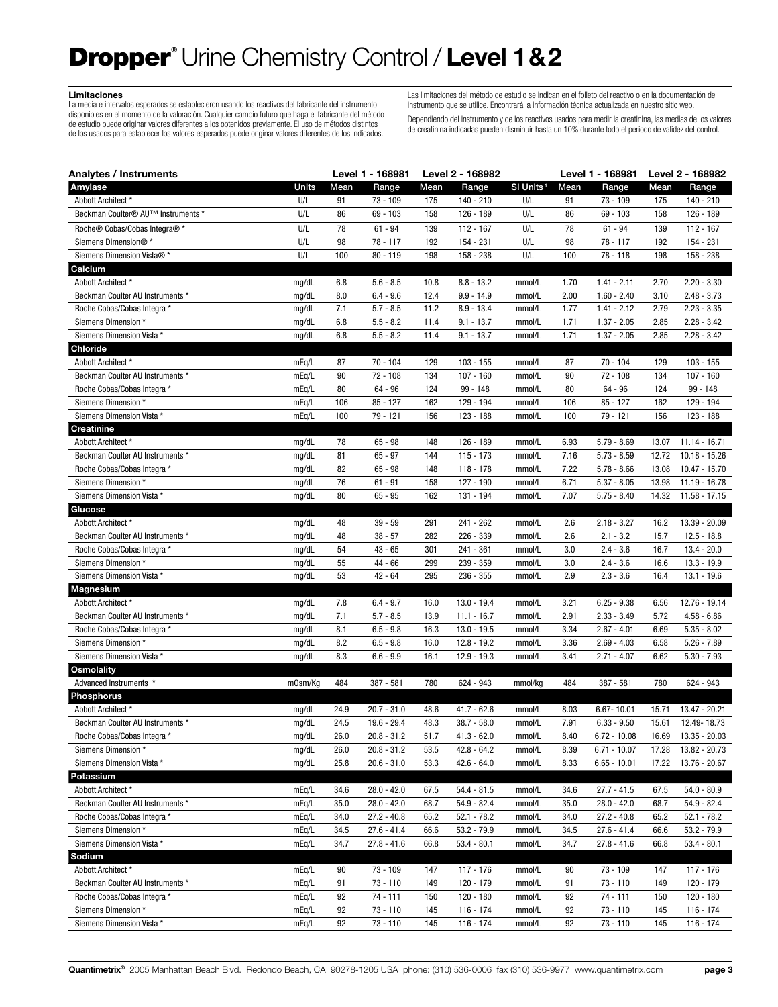## Dropper**®** Urine Chemistry Control / **Level 1&2**

#### **Limitaciones**

La media e intervalos esperados se establecieron usando los reactivos del fabricante del instrumento disponibles en el momento de la valoración. Cualquier cambio futuro que haga el fabricante del método de estudio puede originar valores diferentes a los obtenidos previamente. El uso de métodos distintos de los usados para establecer los valores esperados puede originar valores diferentes de los indicados.

Las limitaciones del método de estudio se indican en el folleto del reactivo o en la documentación del instrumento que se utilice. Encontrará la información técnica actualizada en nuestro sitio web.

Dependiendo del instrumento y de los reactivos usados para medir la creatinina, las medias de los valores de creatinina indicadas pueden disminuir hasta un 10% durante todo el periodo de validez del control.

| Analytes / Instruments                                          |                |            | Level 1 - 168981           |              | Level 2 - 168982               |                       | Level 1 - 168981 |                                | Level 2 - 168982 |                                |
|-----------------------------------------------------------------|----------------|------------|----------------------------|--------------|--------------------------------|-----------------------|------------------|--------------------------------|------------------|--------------------------------|
| Amylase                                                         | Units          | Mean       | Range                      | Mean         | Range                          | SI Units <sup>1</sup> | Mean             | Range                          | Mean             | Range                          |
| Abbott Architect *                                              | U/L            | 91         | $73 - 109$                 | 175          | 140 - 210                      | U/L                   | 91               | 73 - 109                       | 175              | 140 - 210                      |
| Beckman Coulter <sup>®</sup> AU <sup>™</sup> Instruments *      | U/L            | 86         | $69 - 103$                 | 158          | 126 - 189                      | U/L                   | 86               | $69 - 103$                     | 158              | 126 - 189                      |
| Roche <sup>®</sup> Cobas/Cobas Integra <sup>®</sup>             | U/L            | 78         | $61 - 94$                  | 139          | 112 - 167                      | U/L                   | 78               | $61 - 94$                      | 139              | 112 - 167                      |
| Siemens Dimension®*                                             | U/L            | 98         | $78 - 117$                 | 192          | 154 - 231                      | U/L                   | 98               | $78 - 117$                     | 192              | 154 - 231                      |
| Siemens Dimension Vista® *                                      | U/L            | 100        | $80 - 119$                 | 198          | 158 - 238                      | U/L                   | 100              | $78 - 118$                     | 198              | 158 - 238                      |
| Calcium                                                         |                |            |                            |              |                                |                       |                  |                                |                  |                                |
| Abbott Architect *                                              | mg/dL          | 6.8        | $5.6 - 8.5$                | 10.8         | $8.8 - 13.2$                   | mmol/L                | 1.70             | $1.41 - 2.11$                  | 2.70             | $2.20 - 3.30$                  |
| Beckman Coulter AU Instruments *                                | mg/dL          | 8.0        | $6.4 - 9.6$                | 12.4         | $9.9 - 14.9$                   | mmol/L                | 2.00             | $1.60 - 2.40$                  | 3.10             | $2.48 - 3.73$                  |
| Roche Cobas/Cobas Integra *                                     | mg/dL          | 7.1        | $5.7 - 8.5$                | 11.2         | $8.9 - 13.4$                   | mmol/L                | 1.77             | $1.41 - 2.12$                  | 2.79             | $2.23 - 3.35$                  |
| Siemens Dimension*                                              | mg/dL          | 6.8        | $5.5 - 8.2$                | 11.4         | $9.1 - 13.7$                   | mmol/L                | 1.71             | $1.37 - 2.05$                  | 2.85             | $2.28 - 3.42$                  |
| Siemens Dimension Vista *                                       | mg/dL          | 6.8        | $5.5 - 8.2$                | 11.4         | $9.1 - 13.7$                   | mmol/L                | 1.71             | $1.37 - 2.05$                  | 2.85             | $2.28 - 3.42$                  |
| <b>Chloride</b>                                                 |                |            |                            |              |                                |                       |                  |                                |                  |                                |
| Abbott Architect *                                              | mEq/L          | 87         | 70 - 104                   | 129          | 103 - 155                      | mmol/L                | 87               | $70 - 104$                     | 129              | $103 - 155$                    |
| Beckman Coulter AU Instruments *                                | mEq/L          | 90         | $72 - 108$                 | 134          | $107 - 160$                    | mmol/L                | 90               | $72 - 108$                     | 134              | $107 - 160$                    |
| Roche Cobas/Cobas Integra *                                     | mEq/L          | 80         | $64 - 96$                  | 124          | $99 - 148$                     | mmol/L                | 80               | $64 - 96$                      | 124              | 99 - 148                       |
| Siemens Dimension *                                             | mEq/L          | 106        | $85 - 127$                 | 162          | 129 - 194                      | mmol/L                | 106              | $85 - 127$                     | 162              | 129 - 194                      |
| Siemens Dimension Vista *                                       | mEq/L          | 100        | 79 - 121                   | 156          | 123 - 188                      | mmol/L                | 100              | 79 - 121                       | 156              | $123 - 188$                    |
| <b>Creatinine</b>                                               |                |            |                            |              |                                |                       |                  |                                |                  |                                |
| Abbott Architect *                                              | mg/dL          | 78         | $65 - 98$                  | 148          | 126 - 189                      | mmol/L                | 6.93             | $5.79 - 8.69$                  | 13.07            | 11.14 - 16.71                  |
| Beckman Coulter AU Instruments *                                | mg/dL          | 81         | $65 - 97$                  | 144          | $115 - 173$                    | mmol/L                | 7.16             | $5.73 - 8.59$                  | 12.72            | $10.18 - 15.26$                |
| Roche Cobas/Cobas Integra *                                     | mg/dL          | 82         | $65 - 98$                  | 148          | 118 - 178                      | mmol/L                | 7.22             | $5.78 - 8.66$                  | 13.08            | 10.47 - 15.70                  |
| Siemens Dimension *                                             | mg/dL          | 76         | $61 - 91$                  | 158          | 127 - 190                      | mmol/L                | 6.71             | $5.37 - 8.05$                  | 13.98            | 11.19 - 16.78                  |
| Siemens Dimension Vista *                                       | mg/dL          | 80         | $65 - 95$                  | 162          | 131 - 194                      | mmol/L                | 7.07             | $5.75 - 8.40$                  | 14.32            | $11.58 - 17.15$                |
| Glucose                                                         |                |            |                            |              |                                |                       |                  |                                |                  |                                |
| Abbott Architect *                                              | mg/dL          | 48         | $39 - 59$                  | 291          | 241 - 262                      | mmol/L                | 2.6              | $2.18 - 3.27$                  | 16.2             | 13.39 - 20.09                  |
| Beckman Coulter AU Instruments *                                | mg/dL          | 48         | $38 - 57$                  | 282          | 226 - 339                      | mmol/L                | 2.6              | $2.1 - 3.2$                    | 15.7             | $12.5 - 18.8$                  |
| Roche Cobas/Cobas Integra *                                     | mg/dL          | 54         | $43 - 65$                  | 301          | 241 - 361                      | mmol/L                | 3.0              | $2.4 - 3.6$                    | 16.7             | $13.4 - 20.0$                  |
| Siemens Dimension *                                             | mg/dL          | 55         | 44 - 66                    | 299          | 239 - 359                      | mmol/L                | 3.0              | $2.4 - 3.6$                    | 16.6             | $13.3 - 19.9$                  |
| Siemens Dimension Vista *                                       | mg/dL          | 53         | $42 - 64$                  | 295          | 236 - 355                      | mmol/L                | 2.9              | $2.3 - 3.6$                    | 16.4             | $13.1 - 19.6$                  |
| Magnesium                                                       |                |            |                            |              |                                |                       |                  |                                |                  |                                |
| Abbott Architect *                                              | mg/dL          | 7.8<br>7.1 | $6.4 - 9.7$<br>$5.7 - 8.5$ | 16.0<br>13.9 | $13.0 - 19.4$<br>$11.1 - 16.7$ | mmol/L                | 3.21<br>2.91     | $6.25 - 9.38$<br>$2.33 - 3.49$ | 6.56<br>5.72     | 12.76 - 19.14<br>$4.58 - 6.86$ |
| Beckman Coulter AU Instruments *<br>Roche Cobas/Cobas Integra * | mg/dL<br>mg/dL | 8.1        | $6.5 - 9.8$                | 16.3         | $13.0 - 19.5$                  | mmol/L<br>mmol/L      | 3.34             | $2.67 - 4.01$                  | 6.69             | $5.35 - 8.02$                  |
| Siemens Dimension *                                             | mg/dL          | 8.2        | $6.5 - 9.8$                | 16.0         | $12.8 - 19.2$                  | mmol/L                | 3.36             | $2.69 - 4.03$                  | 6.58             | $5.26 - 7.89$                  |
| Siemens Dimension Vista *                                       | mg/dL          | 8.3        | $6.6 - 9.9$                | 16.1         | $12.9 - 19.3$                  | mmol/L                | 3.41             | $2.71 - 4.07$                  | 6.62             | $5.30 - 7.93$                  |
| <b>Osmolality</b>                                               |                |            |                            |              |                                |                       |                  |                                |                  |                                |
| Advanced Instruments *                                          | m0sm/Kq        | 484        | $387 - 581$                | 780          | 624 - 943                      | mmol/kg               | 484              | $387 - 581$                    | 780              | 624 - 943                      |
| Phosphorus                                                      |                |            |                            |              |                                |                       |                  |                                |                  |                                |
| Abbott Architect *                                              | mg/dL          | 24.9       | $20.7 - 31.0$              | 48.6         | $41.7 - 62.6$                  | mmol/L                | 8.03             | $6.67 - 10.01$                 | 15.71            | 13.47 - 20.21                  |
| Beckman Coulter AU Instruments *                                | mg/dL          | 24.5       | $19.6 - 29.4$              | 48.3         | $38.7 - 58.0$                  | mmol/L                | 7.91             | $6.33 - 9.50$                  | 15.61            | 12.49-18.73                    |
| Roche Cobas/Cobas Integra *                                     | mg/dL          | $26.0\,$   | $20.8 - 31.2$              | 51.7         | $41.3 - 62.0$                  | mmol/L                | 8.40             | $6.72 - 10.08$                 | 16.69            | 13.35 - 20.03                  |
| Siemens Dimension *                                             | mg/dL          | 26.0       | $20.8 - 31.2$              | 53.5         | $42.8 - 64.2$                  | mmol/L                | 8.39             | $6.71 - 10.07$                 | 17.28            | 13.82 - 20.73                  |
| Siemens Dimension Vista *                                       | mg/dL          | 25.8       | $20.6 - 31.0$              | 53.3         | $42.6 - 64.0$                  | mmol/L                | 8.33             | $6.65 - 10.01$                 | 17.22            | 13.76 - 20.67                  |
| Potassium                                                       |                |            |                            |              |                                |                       |                  |                                |                  |                                |
| Abbott Architect *                                              | mEq/L          | 34.6       | $28.0 - 42.0$              | 67.5         | $54.4 - 81.5$                  | mmol/L                | 34.6             | $27.7 - 41.5$                  | 67.5             | $54.0 - 80.9$                  |
| Beckman Coulter AU Instruments *                                | mEq/L          | 35.0       | $28.0 - 42.0$              | 68.7         | $54.9 - 82.4$                  | mmol/L                | 35.0             | $28.0 - 42.0$                  | 68.7             | $54.9 - 82.4$                  |
| Roche Cobas/Cobas Integra *                                     | mEq/L          | 34.0       | $27.2 - 40.8$              | 65.2         | $52.1 - 78.2$                  | mmol/L                | 34.0             | $27.2 - 40.8$                  | 65.2             | $52.1 - 78.2$                  |
| Siemens Dimension *                                             | mEq/L          | 34.5       | $27.6 - 41.4$              | 66.6         | $53.2 - 79.9$                  | mmol/L                | 34.5             | $27.6 - 41.4$                  | 66.6             | 53.2 - 79.9                    |
| Siemens Dimension Vista *                                       | mEq/L          | 34.7       | $27.8 - 41.6$              | 66.8         | $53.4 - 80.1$                  | mmol/L                | 34.7             | $27.8 - 41.6$                  | 66.8             | $53.4 - 80.1$                  |
| Sodium                                                          |                |            |                            |              |                                |                       |                  |                                |                  |                                |
| Abbott Architect *                                              | mEq/L          | 90         | 73 - 109                   | 147          | 117 - 176                      | mmol/L                | 90               | 73 - 109                       | 147              | 117 - 176                      |
| Beckman Coulter AU Instruments *                                | mEq/L          | 91         | $73 - 110$                 | 149          | 120 - 179                      | mmol/L                | 91               | $73 - 110$                     | 149              | 120 - 179                      |
| Roche Cobas/Cobas Integra *                                     | mEq/L          | 92         | $74 - 111$                 | 150          | 120 - 180                      | mmol/L                | 92               | $74 - 111$                     | 150              | 120 - 180                      |
| Siemens Dimension *                                             | mEq/L          | 92         | $73 - 110$                 | 145          | 116 - 174                      | mmol/L                | 92               | $73 - 110$                     | 145              | 116 - 174                      |
| Siemens Dimension Vista *                                       | mEq/L          | 92         | $73 - 110$                 | 145          | 116 - 174                      | mmol/L                | 92               | $73 - 110$                     | 145              | $116 - 174$                    |